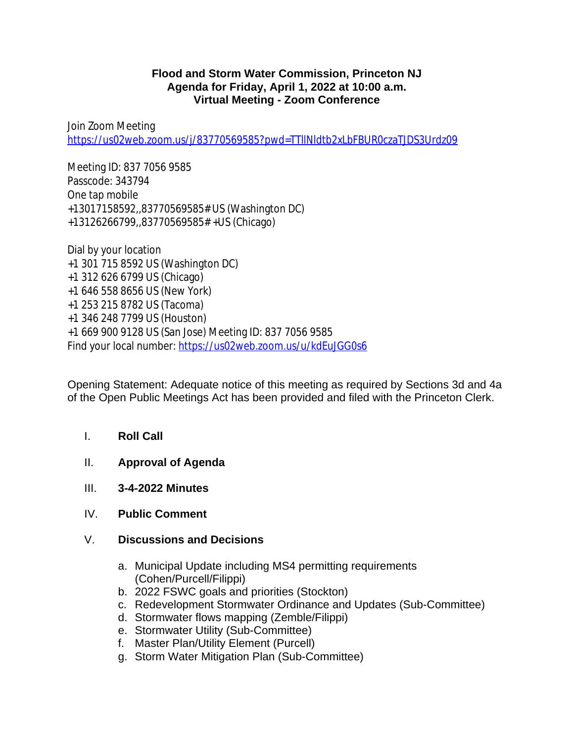## **Flood and Storm Water Commission, Princeton NJ Agenda for Friday, April 1, 2022 at 10:00 a.m. Virtual Meeting - Zoom Conference**

Join Zoom Meeting <https://us02web.zoom.us/j/83770569585?pwd=TTllNldtb2xLbFBUR0czaTJDS3Urdz09>

Meeting ID: 837 7056 9585 Passcode: 343794 One tap mobile +13017158592,,83770569585# US (Washington DC) +13126266799,,83770569585# +US (Chicago)

Dial by your location +1 301 715 8592 US (Washington DC) +1 312 626 6799 US (Chicago) +1 646 558 8656 US (New York) +1 253 215 8782 US (Tacoma) +1 346 248 7799 US (Houston) +1 669 900 9128 US (San Jose) Meeting ID: 837 7056 9585 Find your local number:<https://us02web.zoom.us/u/kdEuJGG0s6>

Opening Statement: Adequate notice of this meeting as required by Sections 3d and 4a of the Open Public Meetings Act has been provided and filed with the Princeton Clerk.

- I. **Roll Call**
- II. **Approval of Agenda**
- III. **3-4-2022 Minutes**
- IV. **Public Comment**
- V. **Discussions and Decisions**
	- a. Municipal Update including MS4 permitting requirements (Cohen/Purcell/Filippi)
	- b. 2022 FSWC goals and priorities (Stockton)
	- c. Redevelopment Stormwater Ordinance and Updates (Sub-Committee)
	- d. Stormwater flows mapping (Zemble/Filippi)
	- e. Stormwater Utility (Sub-Committee)
	- f. Master Plan/Utility Element (Purcell)
	- g. Storm Water Mitigation Plan (Sub-Committee)